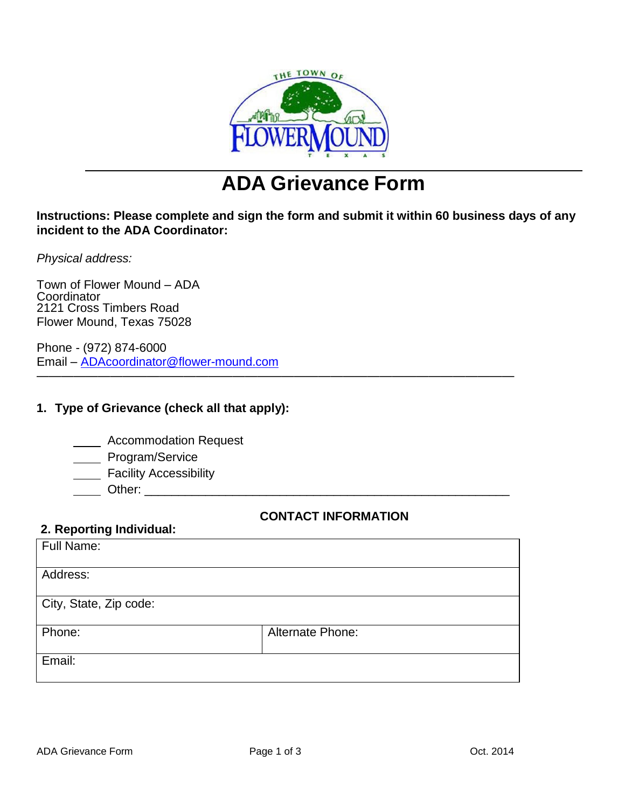

# **ADA Grievance Form**

# **Instructions: Please complete and sign the form and submit it within 60 business days of any incident to the ADA Coordinator:**

*Physical address:*

Town of Flower Mound – ADA **Coordinator** 2121 Cross Timbers Road Flower Mound, Texas 75028

Phone - (972) 874-6000 Email – [ADAcoordinator@flower-mound.com](mailto:ADAcoordinator@flower-mound.com)

# **1. Type of Grievance (check all that apply):**

**Accommodation Request** 

- \_\_\_\_ Program/Service
- **Example 2** Facility Accessibility
- Other:

# **CONTACT INFORMATION**

| 2. Reporting Individual: |  |
|--------------------------|--|
| تممموا البالا            |  |

| Full Name:             |                         |  |
|------------------------|-------------------------|--|
| Address:               |                         |  |
| City, State, Zip code: |                         |  |
| Phone:                 | <b>Alternate Phone:</b> |  |
| Email:                 |                         |  |
|                        |                         |  |

———————————————————————————————————————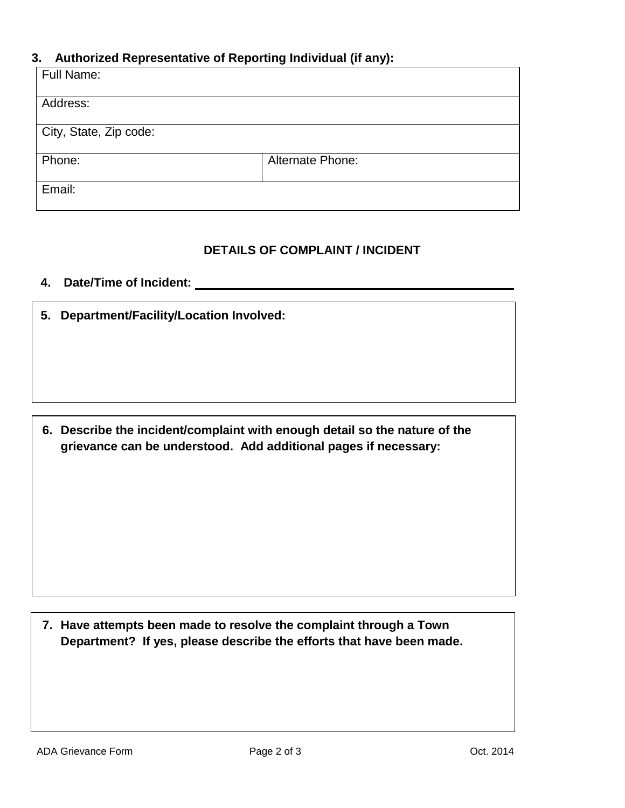#### **3. Authorized Representative of Reporting Individual (if any):**

| Full Name:             |                  |
|------------------------|------------------|
|                        |                  |
| Address:               |                  |
|                        |                  |
|                        |                  |
|                        |                  |
| City, State, Zip code: |                  |
|                        |                  |
|                        |                  |
| Phone:                 | Alternate Phone: |
|                        |                  |
|                        |                  |
|                        |                  |
| Email:                 |                  |
|                        |                  |
|                        |                  |

#### **DETAILS OF COMPLAINT / INCIDENT**

# **4. Date/Time of Incident:**

**5. Department/Facility/Location Involved:**

**6. Describe the incident/complaint with enough detail so the nature of the grievance can be understood. Add additional pages if necessary:**

**7. Have attempts been made to resolve the complaint through a Town Department? If yes, please describe the efforts that have been made.**